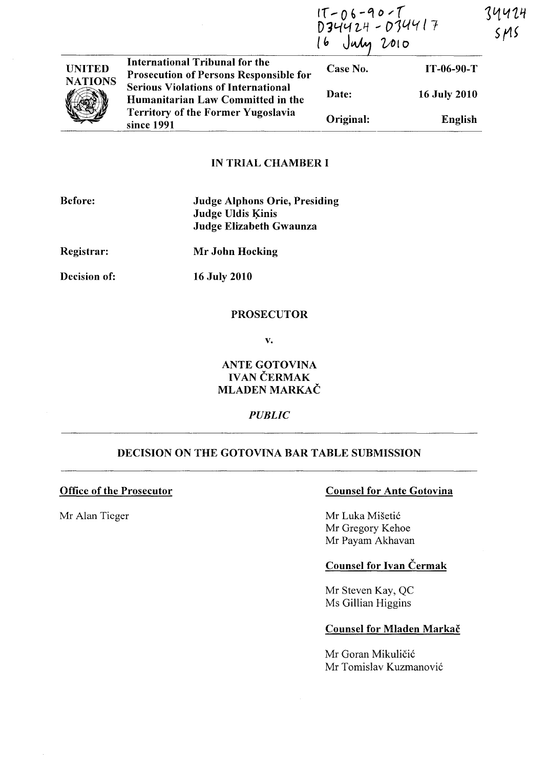|                                 |                                                                                        | $17 - 06 - 90 - 7$<br>D34424 - 034417<br>16 July 2010 |                     | 74424<br>SMS |  |
|---------------------------------|----------------------------------------------------------------------------------------|-------------------------------------------------------|---------------------|--------------|--|
| <b>UNITED</b><br><b>NATIONS</b> | <b>International Tribunal for the</b><br><b>Prosecution of Persons Responsible for</b> | Case No.                                              | $IT-06-90-T$        |              |  |
|                                 | <b>Serious Violations of International</b><br>Humanitarian Law Committed in the        | Date:                                                 | <b>16 July 2010</b> |              |  |
|                                 | <b>Territory of the Former Yugoslavia</b><br>since 1991                                | Original:                                             | English             |              |  |

### IN TRIAL CHAMBER I

| Before:      | <b>Judge Alphons Orie, Presiding</b><br><b>Judge Uldis Kinis</b><br>Judge Elizabeth Gwaunza |
|--------------|---------------------------------------------------------------------------------------------|
| Registrar:   | Mr John Hocking                                                                             |
| Decision of: | <b>16 July 2010</b>                                                                         |

# PROSECUTOR

v.

# ANTE GOTOVINA IVAN ČERMAK MLADEN MARKAC

# *PUBLIC*

# DECISION ON THE GOTOVINA BAR TABLE SUBMISSION

# Office of the Prosecutor Counsel for Ante Gotovina

Mr Alan Tieger Mr Luka Mišetić Mr Gregory Kehoe Mr Payam Akhavan

# Counsel for Ivan Čermak

Mr Steven Kay, QC Ms Gillian Higgins

### Counsel for Mladen Markač

Mr Goran Mikuličić Mr Tomislav Kuzmanovi6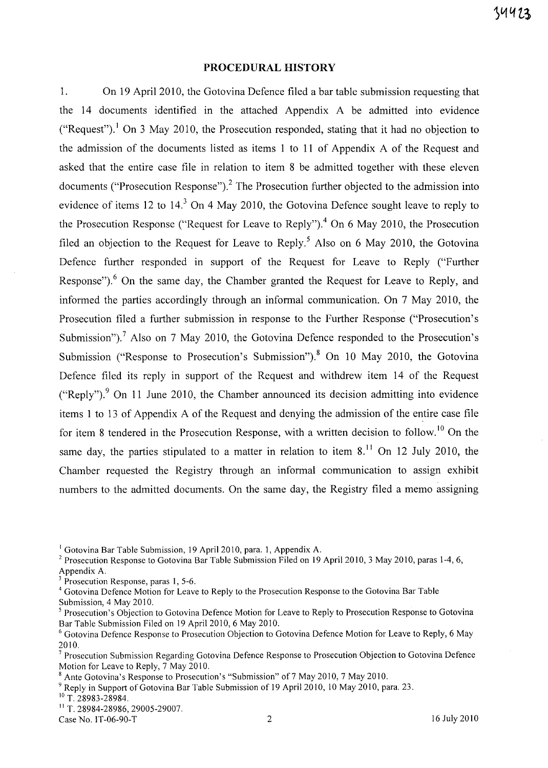#### **PROCEDURAL HISTORY**

1. On 19 April 2010, the Gotovina Defence filed a bar table submission requesting that the 14 documents identified in the attached Appendix A be admitted into evidence ("Request").<sup>1</sup> On 3 May 2010, the Prosecution responded, stating that it had no objection to the admission of the documents listed as items 1 to 11 of Appendix A of the Request and asked that the entire case file in relation to item 8 be admitted together with these eleven documents ("Prosecution Response").<sup>2</sup> The Prosecution further objected to the admission into evidence of items 12 to 14.<sup>3</sup> On 4 May 2010, the Gotovina Defence sought leave to reply to the Prosecution Response ("Request for Leave to Reply").<sup>4</sup> On 6 May 2010, the Prosecution filed an objection to the Request for Leave to Reply.<sup>5</sup> Also on 6 May 2010, the Gotovina Defence further responded in support of the Request for Leave to Reply ("Further Response").<sup>6</sup> On the same day, the Chamber granted the Request for Leave to Reply, and informed the parties accordingly through an informal communication. On 7 May 2010, the Prosecution filed a further submission in response to the Further Response ("Prosecution's Submission").<sup>7</sup> Also on 7 May 2010, the Gotovina Defence responded to the Prosecution's Submission ("Response to Prosecution's Submission").<sup>8</sup> On 10 May 2010, the Gotovina Defence filed its reply in support of the Request and withdrew item 14 of the Request ("Reply").<sup>9</sup> On 11 June 2010, the Chamber announced its decision admitting into evidence items 1 to 13 of Appendix A of the Request and denying the admission of the entire case file for item 8 tendered in the Prosecution Response, with a written decision to follow.<sup>10</sup> On the same day, the parties stipulated to a matter in relation to item  $8<sup>11</sup>$  On 12 July 2010, the Chamber requested the Registry through an informal communication to assign exhibit numbers to the admitted documents. On the same day, the Registry filed a memo assigning

<sup>3</sup> Prosecution Response, paras 1, 5-6.

<sup>&</sup>lt;sup>1</sup> Gotovina Bar Table Submission, 19 April 2010, para. 1, Appendix A.

<sup>2</sup> Prosecution Response to Gotovina Bar Table Submission Filed on 19 April 2010, 3 May 2010, paras 1-4, 6, Appendix A.

<sup>4</sup> Gotovina Defence Motion for Leave to Reply to the Prosecution Response to the Gotovina Bar Table Submission, 4 May 2010.

<sup>&</sup>lt;sup>5</sup> Prosecution's Objection to Gotovina Defence Motion for Leave to Reply to Prosecution Response to Gotovina Bar Table Submission Filed on 19 April 2010, 6 May 2010.

<sup>6</sup> Gotovina Defence Response to Prosecution Objection to Gotovina Defence Motion for Leave to Reply, 6 May 2010.

 $7$  Prosecution Submission Regarding Gotovina Defence Response to Prosecution Objection to Gotovina Defence Motion for Leave to Reply, 7 May 2010.

Ante Gotovina's Response to Prosecution's "Submission" of 7 May 2010, 7 May 2010.

<sup>&</sup>lt;sup>9</sup> Reply in Support of Gotovina Bar Table Submission of 19 April 2010, 10 May 2010, para. 23.

<sup>&</sup>lt;sup>10</sup> T. 28983-28984.

<sup>&</sup>lt;sup>11</sup> T. 28984-28986, 29005-29007.

Case No. 1T-06-90-T 2 2 16 July 2010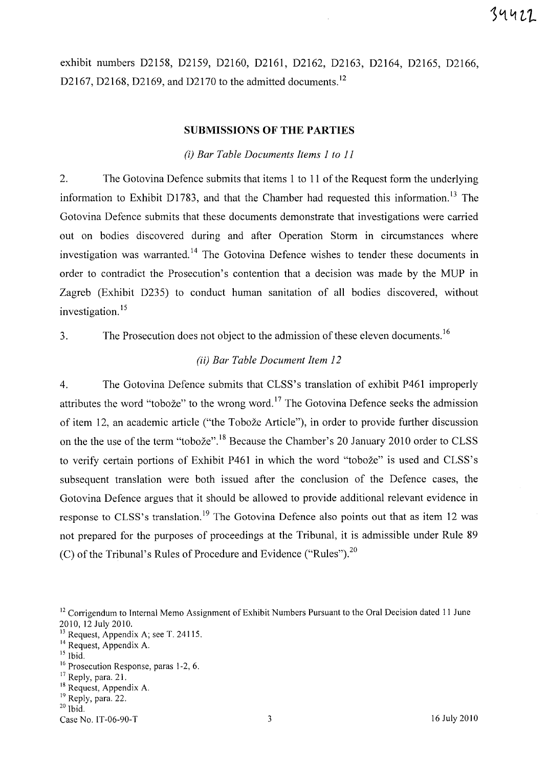exhibit numbers D2158, D2159, D2160, D2161, D2162, D2163, D2164, D2165, D2166, D2167, D2168, D2169, and D2170 to the admitted documents.<sup>12</sup>

#### SUBMISSIONS OF THE PARTIES

#### (iJ *Bar Table Documents Items* 1 *to 11*

2. The Gotovina Defence submits that items 1 to 11 of the Request form the underlying information to Exhibit D1783, and that the Chamber had requested this information.<sup>13</sup> The Gotovina Defence submits that these documents demonstrate that investigations were carried out on bodies discovered during and after Operation Storm in circumstances where investigation was warranted.<sup>14</sup> The Gotovina Defence wishes to tender these documents in order to contradict the Prosecution's contention that a decision was made by the MUP in Zagreb (Exhibit D235) to conduct human sanitation of all bodies discovered, without investigation. 15

3. The Prosecution does not object to the admission of these eleven documents. 16

#### (iiJ *Bar Table Document Item 12*

4. The Gotovina Defence submits that CLSS's translation of exhibit P461 improperly attributes the word "toboze" to the wrong word. 17 The Gotovina Defence seeks the admission of item 12, an academic article ("the Toboze Article"), in order to provide further discussion on the the use of the term "toboze".18 Because the Chamber's 20 January 2010 order to CLSS to verify certain portions of Exhibit P461 in which the word "toboze" is used and CLSS's subsequent translation were both issued after the conclusion of the Defence cases, the Gotovina Defence argues that it should be allowed to provide additional relevant evidence in response to CLSS's translation.<sup>19</sup> The Gotovina Defence also points out that as item 12 was not prepared for the purposes of proceedings at the Tribunal, it is admissible under Rule 89 (C) of the Tribunal's Rules of Procedure and Evidence ("Rules").<sup>20</sup>

<sup>&</sup>lt;sup>12</sup> Corrigendum to Internal Memo Assignment of Exhibit Numbers Pursuant to the Oral Decision dated 11 June 2010,12 July 2010.

<sup>&</sup>lt;sup>13</sup> Request, Appendix A; see T. 24115.

<sup>&</sup>lt;sup>14</sup> Request, Appendix A.

<sup>15</sup> Ibid.

<sup>&</sup>lt;sup>16</sup> Prosecution Response, paras 1-2, 6.

<sup>&</sup>lt;sup>17</sup> Reply, para. 21.

<sup>&</sup>lt;sup>18</sup> Request, Appendix A.

<sup>&</sup>lt;sup>19</sup> Reply, para. 22.

 $20$  Ibid.

Case No. IT-06-90-T 3 16 July 2010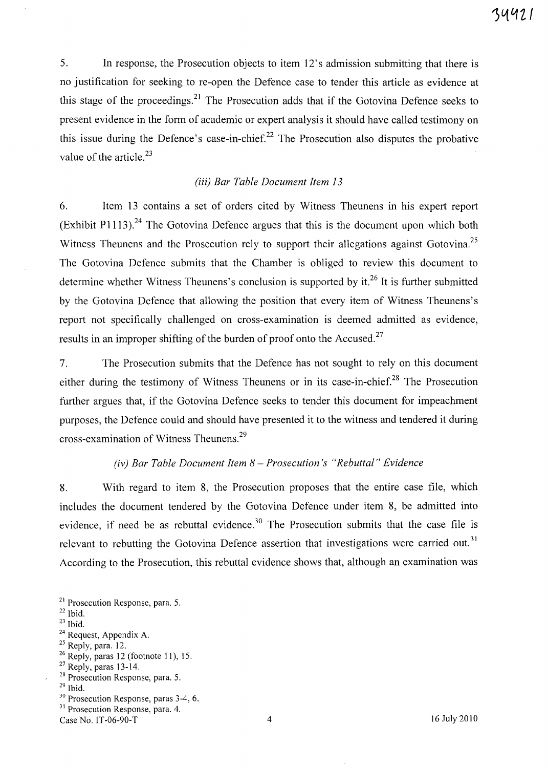5. **In** response, the Prosecution objects to item 12's admission submitting that there is no justification for seeking to re-open the Defence case to tender this article as evidence at this stage of the proceedings. $^{21}$  The Prosecution adds that if the Gotovina Defence seeks to present evidence in the form of academic or expert analysis it should have called testimony on this issue during the Defence's case-in-chief.<sup>22</sup> The Prosecution also disputes the probative value of the article.<sup>23</sup>

# *(iii) Bar Table Document Item 13*

6. Item 13 contains a set of orders cited by Witness Theunens in his expert report (Exhibit P1113).<sup>24</sup> The Gotovina Defence argues that this is the document upon which both Witness Theunens and the Prosecution rely to support their allegations against Gotovina.<sup>25</sup> The Gotovina Defence submits that the Chamber is obliged to review this document to determine whether Witness Theunens's conclusion is supported by it.<sup>26</sup> It is further submitted by the Gotovina Defence that allowing the position that every item of Witness Theunens's report not specifically challenged on cross-examination is deemed admitted as evidence, results in an improper shifting of the burden of proof onto the Accused.<sup>27</sup>

7. The Prosecution submits that the Defence has not sought to rely on this document either during the testimony of Witness Theunens or in its case-in-chief.<sup>28</sup> The Prosecution further argues that, if the Gotovina Defence seeks to tender this document for impeachment purposes, the Defence could and should have presented it to the witness and tendered it during cross-examination of Witness Theunens.<sup>29</sup>

# *(iv) Bar Table Document Item* 8 - *Prosecution's "Rebuttal" Evidence*

8. With regard to item 8, the Prosecution proposes that the entire case file, which includes the document tendered by the Gotovina Defence under item 8, be admitted into evidence, if need be as rebuttal evidence.<sup>30</sup> The Prosecution submits that the case file is relevant to rebutting the Gotovina Defence assertion that investigations were carried out.<sup>31</sup> According to the Prosecution, this rebuttal evidence shows that, although an examination was

- <sup>25</sup> Reply, para. 12.
- $26$  Reply, paras 12 (footnote 11), 15.
- <sup>27</sup> Reply, paras 13-14.
- 28 Prosecution Response, para. 5.
- $29$  Ibid.
- 30 Prosecution Response, paras 3-4, 6.
- <sup>31</sup> Prosecution Response, para. 4.

<sup>21</sup> Prosecution Response, para. 5.

 $22$  Ibid.

 $23$  Ibid.

<sup>&</sup>lt;sup>24</sup> Request, Appendix A.

Case No. 1T-06-90-T 16 July 2010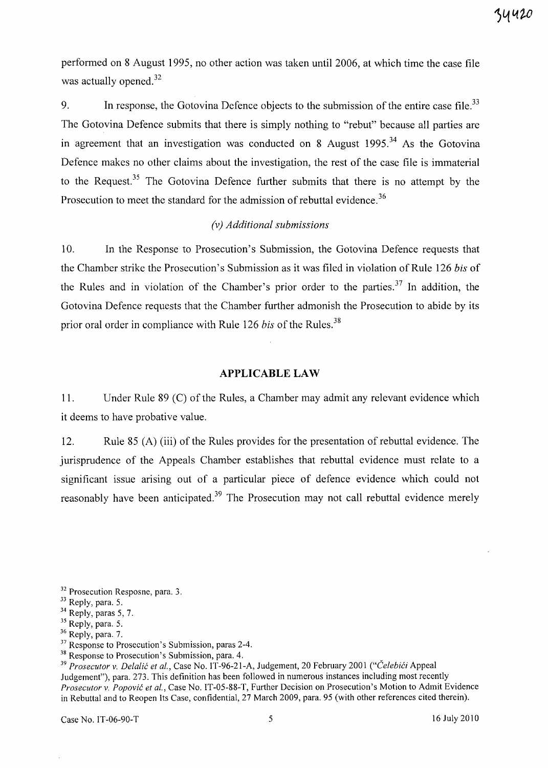performed on 8 August 1995, no other action was taken until 2006, at which time the case file was actually opened. $32$ 

9. In response, the Gotovina Defence objects to the submission of the entire case file. $33$ The Gotovina Defence submits that there is simply nothing to "rebut" because all parties are in agreement that an investigation was conducted on 8 August  $1995<sup>34</sup>$  As the Gotovina Defence makes no other claims about the investigation, the rest of the case file is immaterial to the Request.<sup>35</sup> The Gotovina Defence further submits that there is no attempt by the Prosecution to meet the standard for the admission of rebuttal evidence.<sup>36</sup>

## *(v) Additional submissions*

10. In the Response to Prosecution's Submission, the Gotovina Defence requests that the Chamber strike the Prosecution's Submission as it was filed in violation of Rule 126 *bis* of the Rules and in violation of the Chamber's prior order to the parties.<sup>37</sup> In addition, the Gotovina Defence requests that the Chamber further admonish the Prosecution to abide by its prior oral order in compliance with Rule 126 *bis* of the Rules.<sup>38</sup>

## **APPLICABLE LAW**

11. Under Rule 89 (C) of the Rules, a Chamber may admit any relevant evidence which it deems to have probative value.

12. Rule 85 (A) (iii) of the Rules provides for the presentation of rebuttal evidence. The jurisprudence of the Appeals Chamber establishes that rebuttal evidence must relate to a significant issue arising out of a particular piece of defence evidence which could not reasonably have been anticipated.<sup>39</sup> The Prosecution may not call rebuttal evidence merely

<sup>&</sup>lt;sup>32</sup> Prosecution Resposne, para. 3.

<sup>33</sup> Reply, para. 5.

<sup>&</sup>lt;sup>34</sup> Reply, paras 5, 7.

<sup>&</sup>lt;sup>35</sup> Reply, para. 5.

<sup>&</sup>lt;sup>36</sup> Reply, para. 7.

<sup>&</sup>lt;sup>37</sup> Response to Prosecution's Submission, paras 2-4.

<sup>&</sup>lt;sup>38</sup> Response to Prosecution's Submission, para. 4.

<sup>&</sup>lt;sup>39</sup> Prosecutor v. Delalić et al., Case No. IT-96-21-A, Judgement, 20 February 2001 ("Čelebići Appeal Judgement"), para. 273. This definition has been followed in numerous instances including most recently *Prosecutor* v. *Popovic et al.,* Case No. IT-05-88-T, Further Decision on Prosecution's Motion to Admit Evidence in Rebuttal and to Reopen Its Case, confidential, 27 March 2009, para. 95 (with other references cited therein).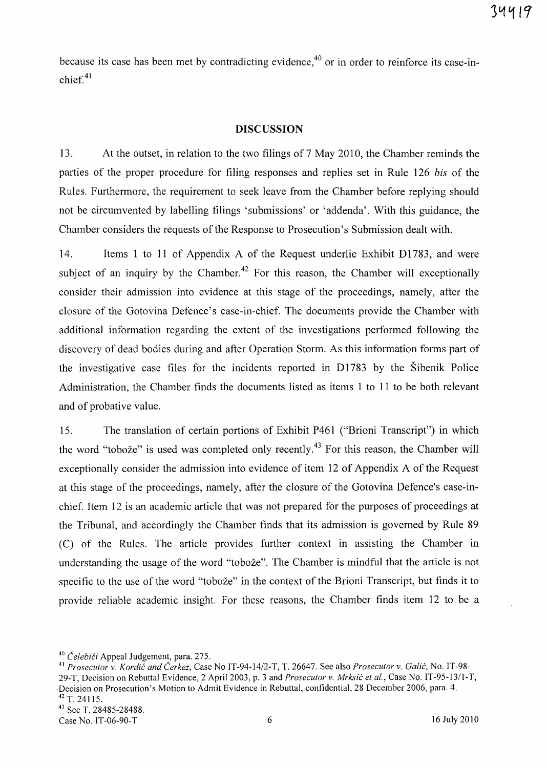because its case has been met by contradicting evidence,<sup>40</sup> or in order to reinforce its case-in $chief<sup>41</sup>$ 

#### **DISCUSSION**

13. At the outset, in relation to the two filings of 7 May 2010, the Chamber reminds the parties of the proper procedure for filing responses and replies set in Rule 126 *bis* of the Rules. Furthermore, the requirement to seek leave from the Chamber before replying should not be circumvented by labelling filings 'submissions' or 'addenda'. With this guidance, the Chamber considers the requests of the Response to Prosecution's Submission dealt with.

14. Items 1 to **11** of Appendix A of the Request underlie Exhibit D1783, and were subject of an inquiry by the Chamber.<sup>42</sup> For this reason, the Chamber will exceptionally consider their admission into evidence at this stage of the proceedings, namely, after the closure of the Gotovina Defence's case-in-chief. The documents provide the Chamber with additional information regarding the extent of the investigations performed following the discovery of dead bodies during and after Operation Storm. As this information forms part of the investigative case files for the incidents reported in D1783 by the Sibenik Police Administration, the Chamber finds the documents listed as items 1 to **11** to be both relevant and of probative value.

15. The translation of certain portions of Exhibit P461 ("Brioni Transcript") in which the word "tobože" is used was completed only recently.<sup>43</sup> For this reason, the Chamber will exceptionally consider the admission into evidence of item 12 of Appendix A of the Request at this stage of the proceedings, namely, after the closure of the Gotovina Defence's case-inchief. Item 12 is an academic article that was not prepared for the purposes of proceedings at the Tribunal, and accordingly the Chamber finds that its admission is governed by Rule 89 (C) of the Rules. The article provides further context in assisting the Chamber in understanding the usage of the word "tobože". The Chamber is mindful that the article is not specific to the use of the word "tobože" in the context of the Brioni Transcript, but finds it to provide reliable academic insight. For these reasons, the Chamber finds item 12 to be a

<sup>&</sup>lt;sup>40</sup> Čelebići Appeal Judgement, para. 275.

<sup>41</sup>*Prosecutor* v. *Kordic and Cerkez,* Case No *IT-94-14/2-*T, T. 26647. See also *Prosecutor* v. *Galic,* No. IT-98- 29-T, Decision on Rebuttal Evidence, 2 April 2003, p. 3 and *Prosecutor* v. *Mrksic et at.,* Case No. IT-95-1311-T, Decision on Prosecution's Motion to Admit Evidence in Rebuttal, confidential, 28 December 2006, para. 4. 42 T. 24115.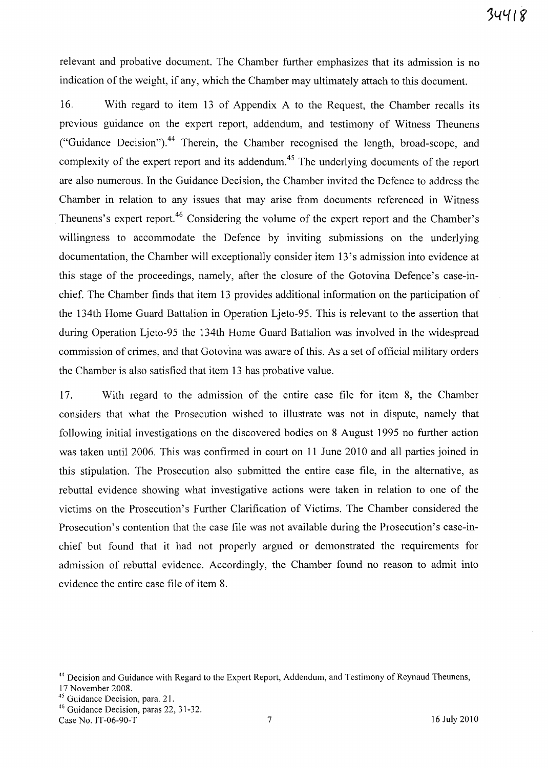relevant and probative document. The Chamber further emphasizes that its admission is no indication of the weight, if any, which the Chamber may ultimately attach to this document.

16. With regard to item 13 of Appendix A to the Request, the Chamber recalls its previous guidance on the expert report, addendum, and testimony of Witness Theunens ("Guidance Decision").<sup>44</sup> Therein, the Chamber recognised the length, broad-scope, and complexity of the expert report and its addendum.<sup>45</sup> The underlying documents of the report are also numerous. In the Guidance Decision, the Chamber invited the Defence to address the Chamber in relation to any issues that may arise from documents referenced in Witness Theunens's expert report.<sup>46</sup> Considering the volume of the expert report and the Chamber's willingness to accommodate the Defence by inviting submissions on the underlying documentation, the Chamber will exceptionally consider item 13 's admission into evidence at this stage of the proceedings, namely, after the closure of the Gotovina Defence's case-inchief. The Chamber finds that item 13 provides additional information on the participation of the 134th Home Guard Battalion in Operation Ljeto-95. This is relevant to the assertion that during Operation Ljeto-95 the 134th Home Guard Battalion was involved in the widespread commission of crimes, and that Gotovina was aware of this. As a set of official military orders the Chamber is also satisfied that item 13 has probative value.

17. With regard to the admission of the entire case file for item 8, the Chamber considers that what the Prosecution wished to illustrate was not in dispute, namely that following initial investigations on the discovered bodies on 8 August 1995 no further action was taken until 2006. This was confirmed in court on 11 June 2010 and all parties joined in this stipulation. The Prosecution also submitted the entire case file, in the alternative, as rebuttal evidence showing what investigative actions were taken in relation to one of the victims on the Prosecution's Further Clarification of Victims. The Chamber considered the Prosecution's contention that the case file was not available during the Prosecution's case-inchief but found that it had not properly argued or demonstrated the requirements for admission of rebuttal evidence. Accordingly, the Chamber found no reason to admit into evidence the entire case file of item 8.

<sup>44</sup> Decision and Guidance with Regard to the Expert Report, Addendum, and Testimony of Reynaud Theunens,

<sup>17</sup> November 2008.

<sup>45</sup> Guidance Decision, para. 21.

<sup>&</sup>lt;sup>46</sup> Guidance Decision, paras 22, 31-32.

Case No. IT-06-90-T 7 16 July 2010